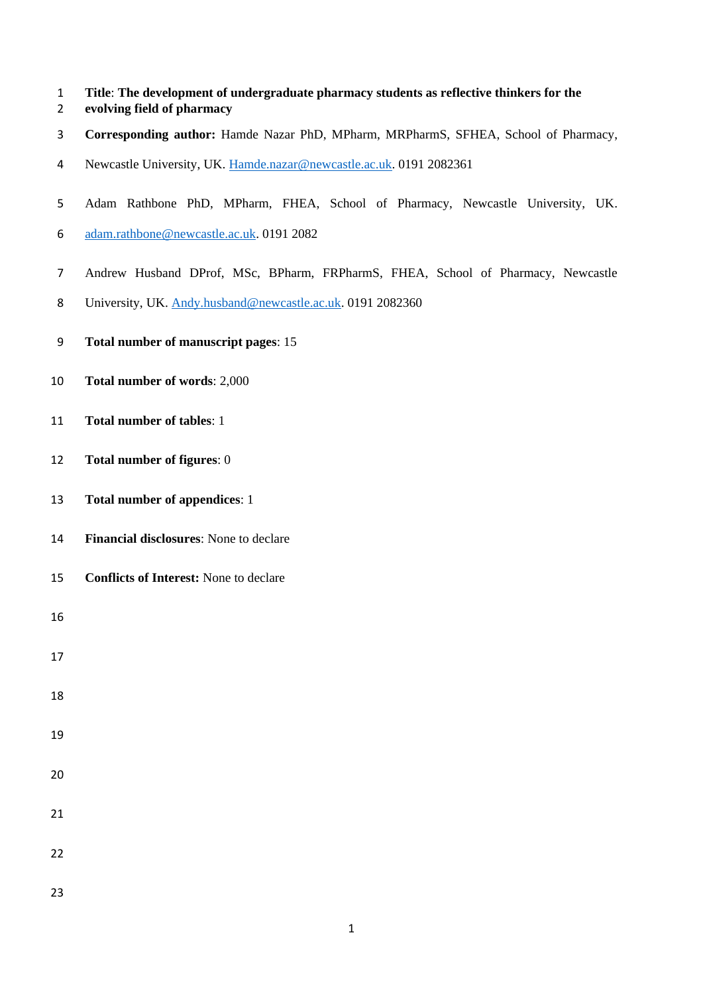- **Title**: **The development of undergraduate pharmacy students as reflective thinkers for the**
- **evolving field of pharmacy**
- **Corresponding author:** Hamde Nazar PhD, MPharm, MRPharmS, SFHEA, School of Pharmacy,
- Newcastle University, UK. [Hamde.nazar@newcastle.ac.uk.](mailto:Hamde.nazar@newcastle.ac.uk) 0191 2082361
- Adam Rathbone PhD, MPharm, FHEA, School of Pharmacy, Newcastle University, UK.
- [adam.rathbone@newcastle.ac.uk.](mailto:adam.rathbone@newcastle.ac.uk) 0191 2082
- Andrew Husband DProf, MSc, BPharm, FRPharmS, FHEA, School of Pharmacy, Newcastle
- 8 University, UK. [Andy.husband@newcastle.ac.uk.](mailto:Andy.husband@newcastle.ac.uk) 0191 2082360
- **Total number of manuscript pages**: 15
- **Total number of words**: 2,000
- **Total number of tables**: 1
- **Total number of figures**: 0
- **Total number of appendices**: 1
- **Financial disclosures**: None to declare
- **Conflicts of Interest:** None to declare

- 
- 
- 
- 
- 
- 
- 
- 
-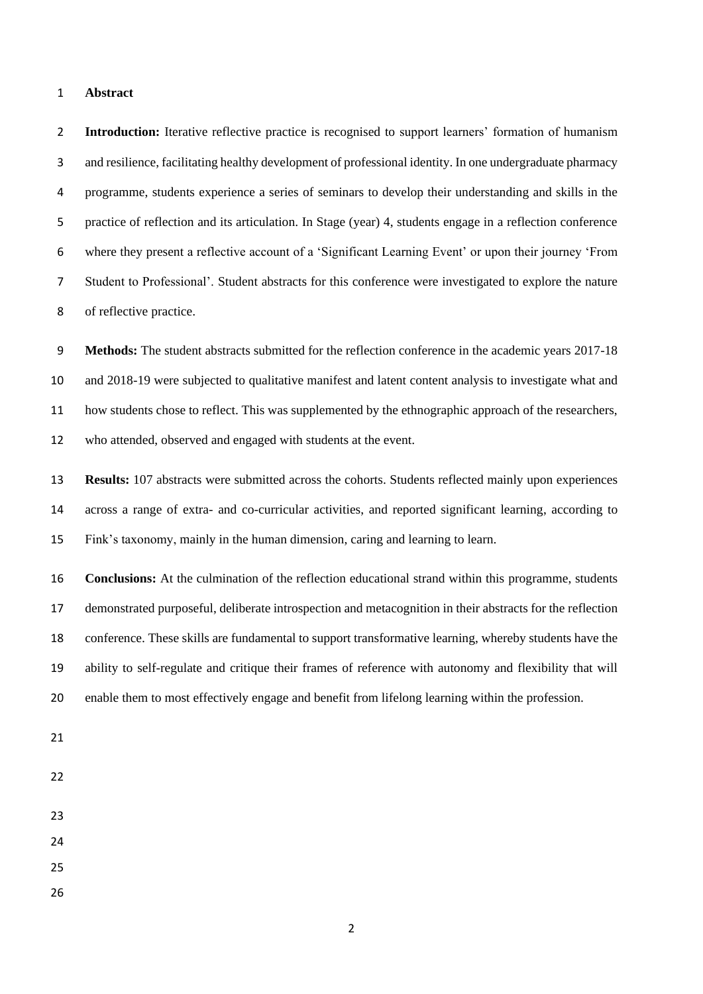## **Abstract**

 **Introduction:** Iterative reflective practice is recognised to support learners' formation of humanism and resilience, facilitating healthy development of professional identity. In one undergraduate pharmacy programme, students experience a series of seminars to develop their understanding and skills in the practice of reflection and its articulation. In Stage (year) 4, students engage in a reflection conference where they present a reflective account of a 'Significant Learning Event' or upon their journey 'From Student to Professional'. Student abstracts for this conference were investigated to explore the nature of reflective practice.

 **Methods:** The student abstracts submitted for the reflection conference in the academic years 2017-18 and 2018-19 were subjected to qualitative manifest and latent content analysis to investigate what and how students chose to reflect. This was supplemented by the ethnographic approach of the researchers, who attended, observed and engaged with students at the event.

 **Results:** 107 abstracts were submitted across the cohorts. Students reflected mainly upon experiences across a range of extra- and co-curricular activities, and reported significant learning, according to Fink's taxonomy, mainly in the human dimension, caring and learning to learn.

 **Conclusions:** At the culmination of the reflection educational strand within this programme, students demonstrated purposeful, deliberate introspection and metacognition in their abstracts for the reflection conference. These skills are fundamental to support transformative learning, whereby students have the ability to self-regulate and critique their frames of reference with autonomy and flexibility that will enable them to most effectively engage and benefit from lifelong learning within the profession.

- 
- 
- 
- 
- 
- 
-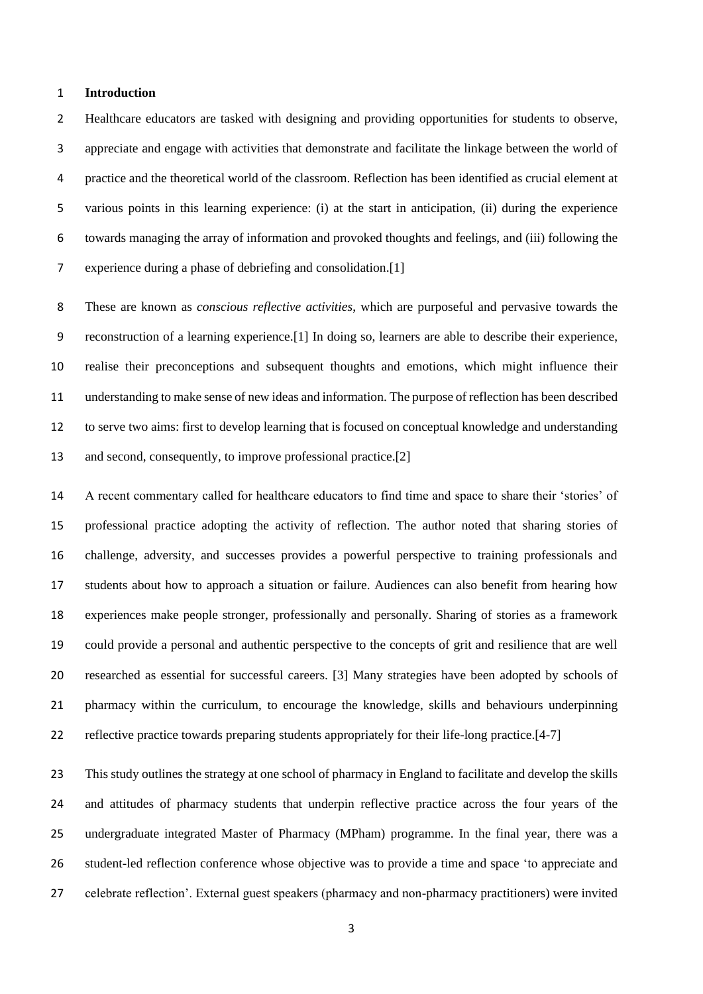### **Introduction**

 Healthcare educators are tasked with designing and providing opportunities for students to observe, appreciate and engage with activities that demonstrate and facilitate the linkage between the world of practice and the theoretical world of the classroom. Reflection has been identified as crucial element at various points in this learning experience: (i) at the start in anticipation, (ii) during the experience towards managing the array of information and provoked thoughts and feelings, and (iii) following the experience during a phase of debriefing and consolidation.[1]

 These are known as *conscious reflective activities*, which are purposeful and pervasive towards the reconstruction of a learning experience.[1] In doing so, learners are able to describe their experience, realise their preconceptions and subsequent thoughts and emotions, which might influence their understanding to make sense of new ideas and information. The purpose of reflection has been described to serve two aims: first to develop learning that is focused on conceptual knowledge and understanding and second, consequently, to improve professional practice.[2]

 A recent commentary called for healthcare educators to find time and space to share their 'stories' of professional practice adopting the activity of reflection. The author noted that sharing stories of challenge, adversity, and successes provides a powerful perspective to training professionals and students about how to approach a situation or failure. Audiences can also benefit from hearing how experiences make people stronger, professionally and personally. Sharing of stories as a framework could provide a personal and authentic perspective to the concepts of grit and resilience that are well researched as essential for successful careers. [3] Many strategies have been adopted by schools of pharmacy within the curriculum, to encourage the knowledge, skills and behaviours underpinning reflective practice towards preparing students appropriately for their life-long practice.[4-7]

 This study outlines the strategy at one school of pharmacy in England to facilitate and develop the skills and attitudes of pharmacy students that underpin reflective practice across the four years of the undergraduate integrated Master of Pharmacy (MPham) programme. In the final year, there was a student-led reflection conference whose objective was to provide a time and space 'to appreciate and celebrate reflection'. External guest speakers (pharmacy and non-pharmacy practitioners) were invited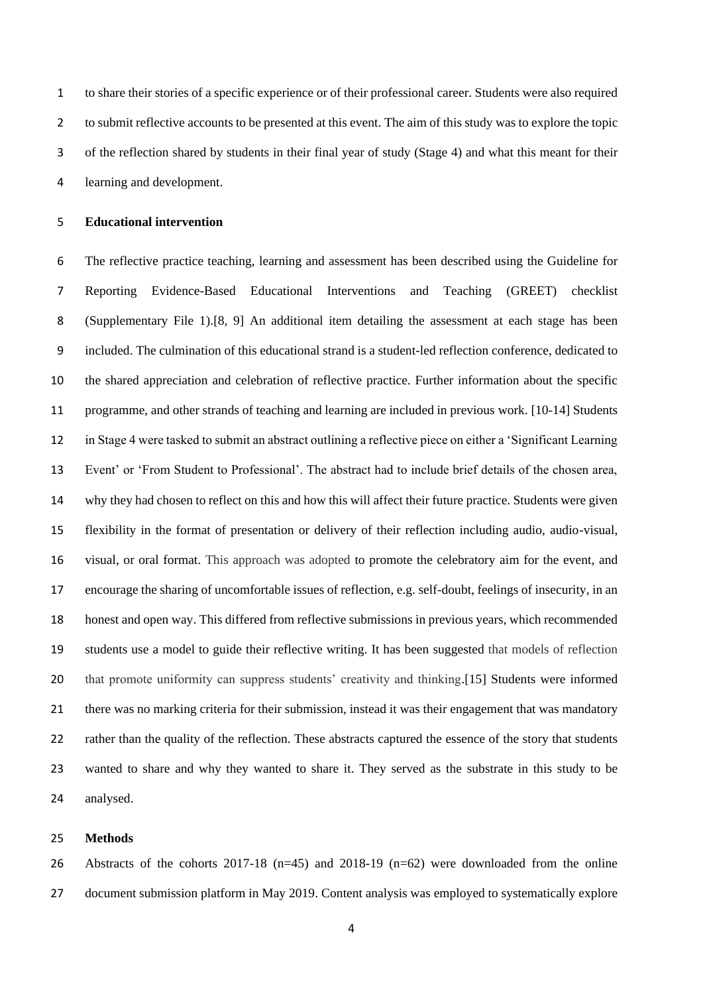to share their stories of a specific experience or of their professional career. Students were also required to submit reflective accounts to be presented at this event. The aim of this study was to explore the topic of the reflection shared by students in their final year of study (Stage 4) and what this meant for their learning and development.

## **Educational intervention**

 The reflective practice teaching, learning and assessment has been described using the Guideline for Reporting Evidence-Based Educational Interventions and Teaching (GREET) checklist (Supplementary File 1).[8, 9] An additional item detailing the assessment at each stage has been included. The culmination of this educational strand is a student-led reflection conference, dedicated to the shared appreciation and celebration of reflective practice. Further information about the specific programme, and other strands of teaching and learning are included in previous work. [10-14] Students in Stage 4 were tasked to submit an abstract outlining a reflective piece on either a 'Significant Learning Event' or 'From Student to Professional'. The abstract had to include brief details of the chosen area, why they had chosen to reflect on this and how this will affect their future practice. Students were given flexibility in the format of presentation or delivery of their reflection including audio, audio-visual, visual, or oral format. This approach was adopted to promote the celebratory aim for the event, and encourage the sharing of uncomfortable issues of reflection, e.g. self-doubt, feelings of insecurity, in an honest and open way. This differed from reflective submissions in previous years, which recommended students use a model to guide their reflective writing. It has been suggested that models of reflection that promote uniformity can suppress students' creativity and thinking.[15] Students were informed there was no marking criteria for their submission, instead it was their engagement that was mandatory rather than the quality of the reflection. These abstracts captured the essence of the story that students wanted to share and why they wanted to share it. They served as the substrate in this study to be analysed.

#### **Methods**

 Abstracts of the cohorts 2017-18 (n=45) and 2018-19 (n=62) were downloaded from the online document submission platform in May 2019. Content analysis was employed to systematically explore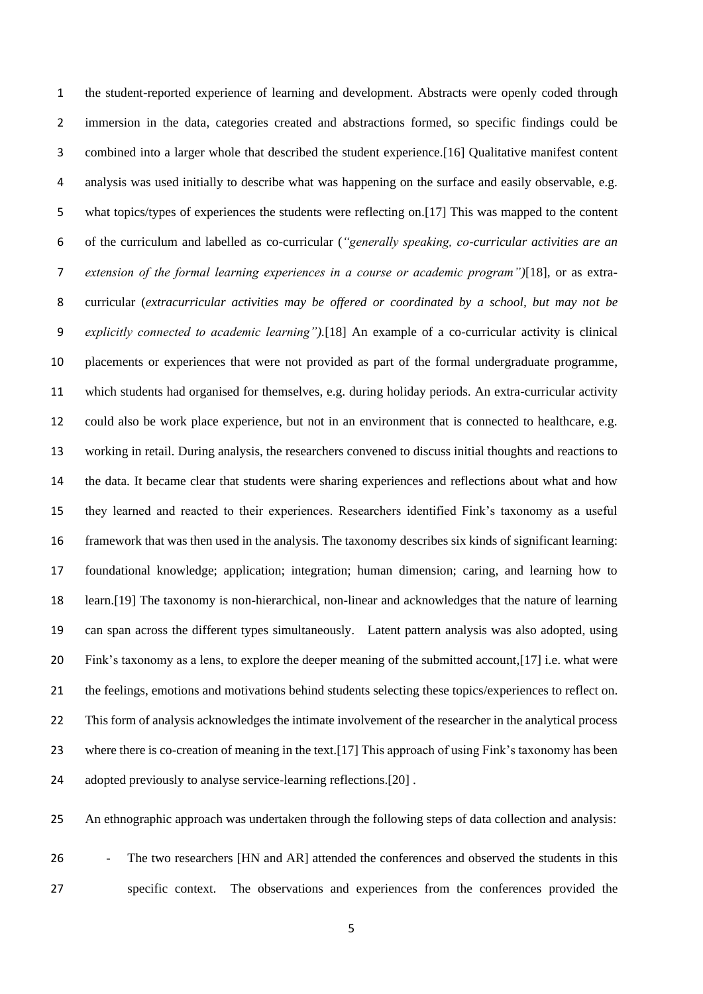the student-reported experience of learning and development. Abstracts were openly coded through immersion in the data, categories created and abstractions formed, so specific findings could be combined into a larger whole that described the student experience.[16] Qualitative manifest content analysis was used initially to describe what was happening on the surface and easily observable, e.g. what topics/types of experiences the students were reflecting on.[17] This was mapped to the content of the curriculum and labelled as co-curricular (*"generally speaking, co-curricular activities are an extension of the formal learning experiences in a course or academic program")*[18]*,* or as extra- curricular (*extracurricular activities may be offered or coordinated by a school, but may not be explicitly connected to academic learning").*[18] An example of a co-curricular activity is clinical placements or experiences that were not provided as part of the formal undergraduate programme, which students had organised for themselves, e.g. during holiday periods. An extra-curricular activity could also be work place experience, but not in an environment that is connected to healthcare, e.g. working in retail. During analysis, the researchers convened to discuss initial thoughts and reactions to the data. It became clear that students were sharing experiences and reflections about what and how they learned and reacted to their experiences. Researchers identified Fink's taxonomy as a useful framework that was then used in the analysis. The taxonomy describes six kinds of significant learning: foundational knowledge; application; integration; human dimension; caring, and learning how to learn.[19] The taxonomy is non-hierarchical, non-linear and acknowledges that the nature of learning can span across the different types simultaneously. Latent pattern analysis was also adopted, using Fink's taxonomy as a lens, to explore the deeper meaning of the submitted account,[17] i.e. what were the feelings, emotions and motivations behind students selecting these topics/experiences to reflect on. This form of analysis acknowledges the intimate involvement of the researcher in the analytical process where there is co-creation of meaning in the text.[17] This approach of using Fink's taxonomy has been 24 adopted previously to analyse service-learning reflections.[20].

An ethnographic approach was undertaken through the following steps of data collection and analysis:

26 - The two researchers [HN and AR] attended the conferences and observed the students in this specific context. The observations and experiences from the conferences provided the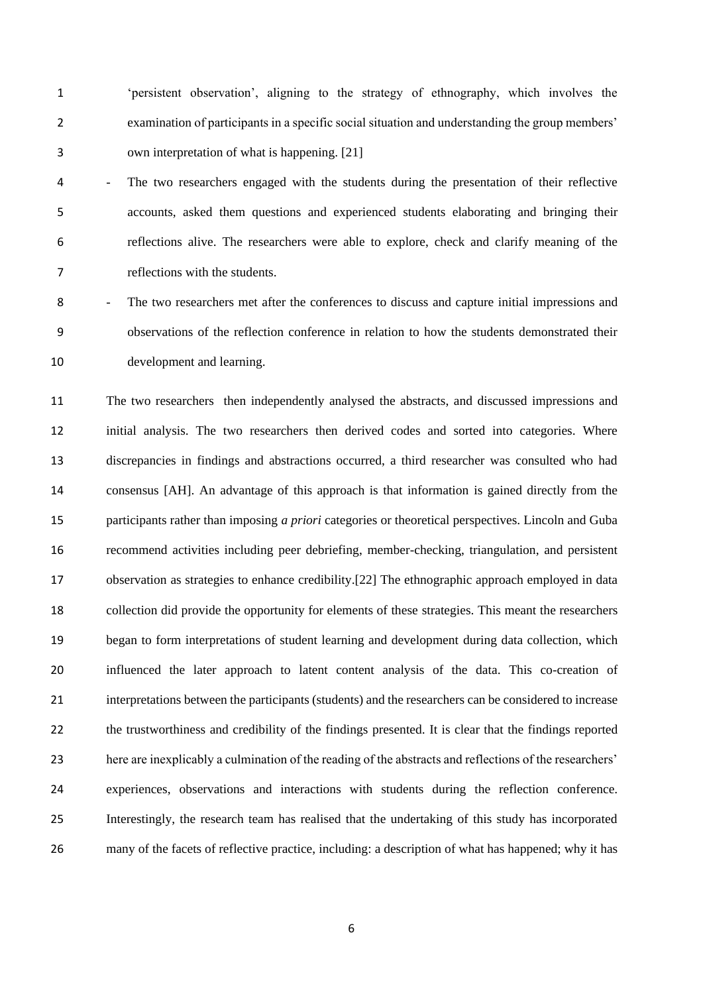'persistent observation', aligning to the strategy of ethnography, which involves the examination of participants in a specific social situation and understanding the group members' own interpretation of what is happening. [21]

 - The two researchers engaged with the students during the presentation of their reflective accounts, asked them questions and experienced students elaborating and bringing their reflections alive. The researchers were able to explore, check and clarify meaning of the reflections with the students.

 - The two researchers met after the conferences to discuss and capture initial impressions and observations of the reflection conference in relation to how the students demonstrated their development and learning.

 The two researchers then independently analysed the abstracts, and discussed impressions and initial analysis. The two researchers then derived codes and sorted into categories. Where discrepancies in findings and abstractions occurred, a third researcher was consulted who had consensus [AH]. An advantage of this approach is that information is gained directly from the participants rather than imposing *a priori* categories or theoretical perspectives. Lincoln and Guba recommend activities including peer debriefing, member-checking, triangulation, and persistent observation as strategies to enhance credibility.[22] The ethnographic approach employed in data collection did provide the opportunity for elements of these strategies. This meant the researchers began to form interpretations of student learning and development during data collection, which influenced the later approach to latent content analysis of the data. This co-creation of interpretations between the participants (students) and the researchers can be considered to increase the trustworthiness and credibility of the findings presented. It is clear that the findings reported here are inexplicably a culmination of the reading of the abstracts and reflections of the researchers' experiences, observations and interactions with students during the reflection conference. Interestingly, the research team has realised that the undertaking of this study has incorporated many of the facets of reflective practice, including: a description of what has happened; why it has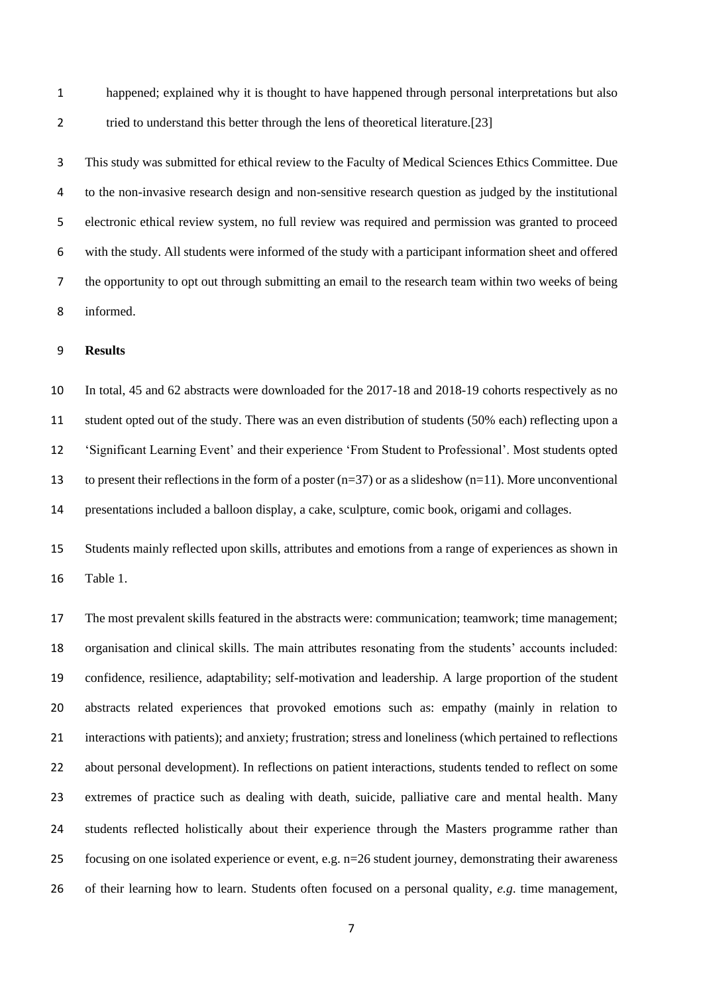happened; explained why it is thought to have happened through personal interpretations but also 2 tried to understand this better through the lens of theoretical literature.[23]

 This study was submitted for ethical review to the Faculty of Medical Sciences Ethics Committee. Due to the non-invasive research design and non-sensitive research question as judged by the institutional electronic ethical review system, no full review was required and permission was granted to proceed with the study. All students were informed of the study with a participant information sheet and offered the opportunity to opt out through submitting an email to the research team within two weeks of being informed.

# **Results**

 In total, 45 and 62 abstracts were downloaded for the 2017-18 and 2018-19 cohorts respectively as no student opted out of the study. There was an even distribution of students (50% each) reflecting upon a 'Significant Learning Event' and their experience 'From Student to Professional'. Most students opted 13 to present their reflections in the form of a poster  $(n=37)$  or as a slideshow  $(n=11)$ . More unconventional presentations included a balloon display, a cake, sculpture, comic book, origami and collages.

 Students mainly reflected upon skills, attributes and emotions from a range of experiences as shown in Table 1.

 The most prevalent skills featured in the abstracts were: communication; teamwork; time management; organisation and clinical skills. The main attributes resonating from the students' accounts included: confidence, resilience, adaptability; self-motivation and leadership. A large proportion of the student abstracts related experiences that provoked emotions such as: empathy (mainly in relation to interactions with patients); and anxiety; frustration; stress and loneliness (which pertained to reflections about personal development). In reflections on patient interactions, students tended to reflect on some extremes of practice such as dealing with death, suicide, palliative care and mental health. Many students reflected holistically about their experience through the Masters programme rather than focusing on one isolated experience or event, e.g. n=26 student journey, demonstrating their awareness of their learning how to learn. Students often focused on a personal quality, *e.g*. time management,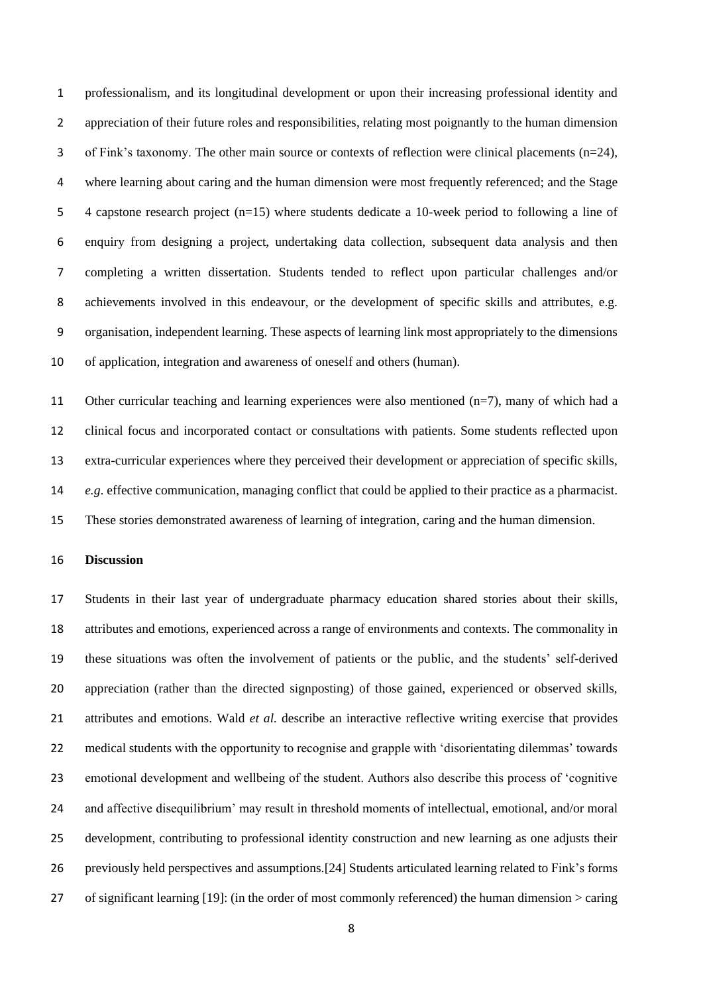professionalism, and its longitudinal development or upon their increasing professional identity and appreciation of their future roles and responsibilities, relating most poignantly to the human dimension 3 of Fink's taxonomy. The other main source or contexts of reflection were clinical placements  $(n=24)$ , where learning about caring and the human dimension were most frequently referenced; and the Stage 4 capstone research project (n=15) where students dedicate a 10-week period to following a line of enquiry from designing a project, undertaking data collection, subsequent data analysis and then completing a written dissertation. Students tended to reflect upon particular challenges and/or achievements involved in this endeavour, or the development of specific skills and attributes, e.g. organisation, independent learning. These aspects of learning link most appropriately to the dimensions of application, integration and awareness of oneself and others (human).

 Other curricular teaching and learning experiences were also mentioned (n=7), many of which had a clinical focus and incorporated contact or consultations with patients. Some students reflected upon extra-curricular experiences where they perceived their development or appreciation of specific skills, *e.g*. effective communication, managing conflict that could be applied to their practice as a pharmacist. These stories demonstrated awareness of learning of integration, caring and the human dimension.

## **Discussion**

 Students in their last year of undergraduate pharmacy education shared stories about their skills, attributes and emotions, experienced across a range of environments and contexts. The commonality in these situations was often the involvement of patients or the public, and the students' self-derived appreciation (rather than the directed signposting) of those gained, experienced or observed skills, attributes and emotions. Wald *et al.* describe an interactive reflective writing exercise that provides medical students with the opportunity to recognise and grapple with 'disorientating dilemmas' towards emotional development and wellbeing of the student. Authors also describe this process of 'cognitive and affective disequilibrium' may result in threshold moments of intellectual, emotional, and/or moral development, contributing to professional identity construction and new learning as one adjusts their previously held perspectives and assumptions.[24] Students articulated learning related to Fink's forms of significant learning [19]: (in the order of most commonly referenced) the human dimension > caring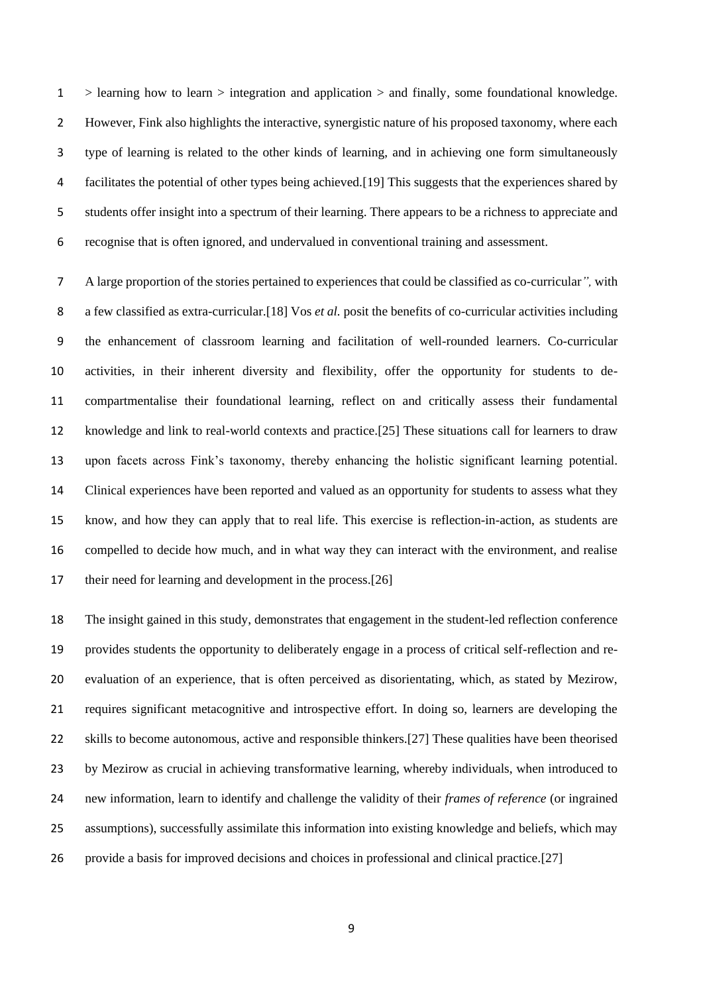> learning how to learn > integration and application > and finally, some foundational knowledge. However, Fink also highlights the interactive, synergistic nature of his proposed taxonomy, where each type of learning is related to the other kinds of learning, and in achieving one form simultaneously facilitates the potential of other types being achieved.[19] This suggests that the experiences shared by students offer insight into a spectrum of their learning. There appears to be a richness to appreciate and recognise that is often ignored, and undervalued in conventional training and assessment.

 A large proportion of the stories pertained to experiences that could be classified as co-curricular*",* with a few classified as extra-curricular.[18] Vos *et al.* posit the benefits of co-curricular activities including the enhancement of classroom learning and facilitation of well-rounded learners. Co-curricular activities, in their inherent diversity and flexibility, offer the opportunity for students to de- compartmentalise their foundational learning, reflect on and critically assess their fundamental knowledge and link to real-world contexts and practice.[25] These situations call for learners to draw upon facets across Fink's taxonomy, thereby enhancing the holistic significant learning potential. Clinical experiences have been reported and valued as an opportunity for students to assess what they know, and how they can apply that to real life. This exercise is reflection-in-action, as students are compelled to decide how much, and in what way they can interact with the environment, and realise 17 their need for learning and development in the process.[26]

 The insight gained in this study, demonstrates that engagement in the student-led reflection conference provides students the opportunity to deliberately engage in a process of critical self-reflection and re- evaluation of an experience, that is often perceived as disorientating, which, as stated by Mezirow, requires significant metacognitive and introspective effort. In doing so, learners are developing the skills to become autonomous, active and responsible thinkers.[27] These qualities have been theorised by Mezirow as crucial in achieving transformative learning, whereby individuals, when introduced to new information, learn to identify and challenge the validity of their *frames of reference* (or ingrained assumptions), successfully assimilate this information into existing knowledge and beliefs, which may provide a basis for improved decisions and choices in professional and clinical practice.[27]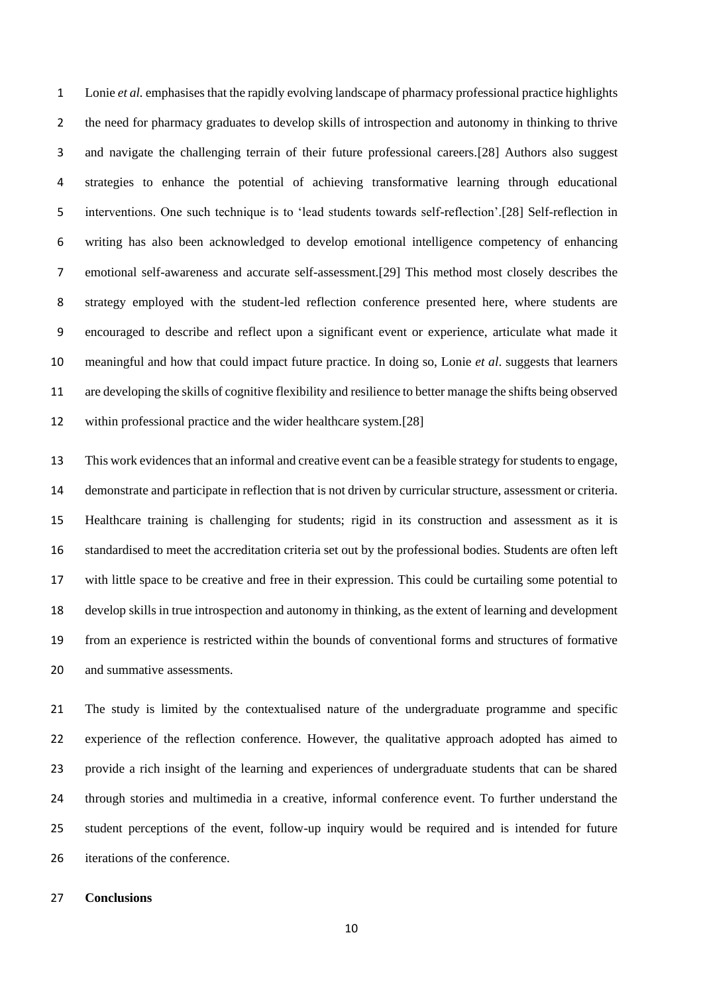Lonie *et al.* emphasises that the rapidly evolving landscape of pharmacy professional practice highlights the need for pharmacy graduates to develop skills of introspection and autonomy in thinking to thrive and navigate the challenging terrain of their future professional careers.[28] Authors also suggest strategies to enhance the potential of achieving transformative learning through educational interventions. One such technique is to 'lead students towards self-reflection'.[28] Self-reflection in writing has also been acknowledged to develop emotional intelligence competency of enhancing emotional self-awareness and accurate self-assessment.[29] This method most closely describes the strategy employed with the student-led reflection conference presented here, where students are encouraged to describe and reflect upon a significant event or experience, articulate what made it meaningful and how that could impact future practice. In doing so, Lonie *et al*. suggests that learners are developing the skills of cognitive flexibility and resilience to better manage the shifts being observed 12 within professional practice and the wider healthcare system.[28]

 This work evidences that an informal and creative event can be a feasible strategy for students to engage, demonstrate and participate in reflection that is not driven by curricular structure, assessment or criteria. Healthcare training is challenging for students; rigid in its construction and assessment as it is standardised to meet the accreditation criteria set out by the professional bodies. Students are often left with little space to be creative and free in their expression. This could be curtailing some potential to develop skills in true introspection and autonomy in thinking, as the extent of learning and development from an experience is restricted within the bounds of conventional forms and structures of formative and summative assessments.

 The study is limited by the contextualised nature of the undergraduate programme and specific experience of the reflection conference. However, the qualitative approach adopted has aimed to provide a rich insight of the learning and experiences of undergraduate students that can be shared through stories and multimedia in a creative, informal conference event. To further understand the student perceptions of the event, follow-up inquiry would be required and is intended for future iterations of the conference.

## **Conclusions**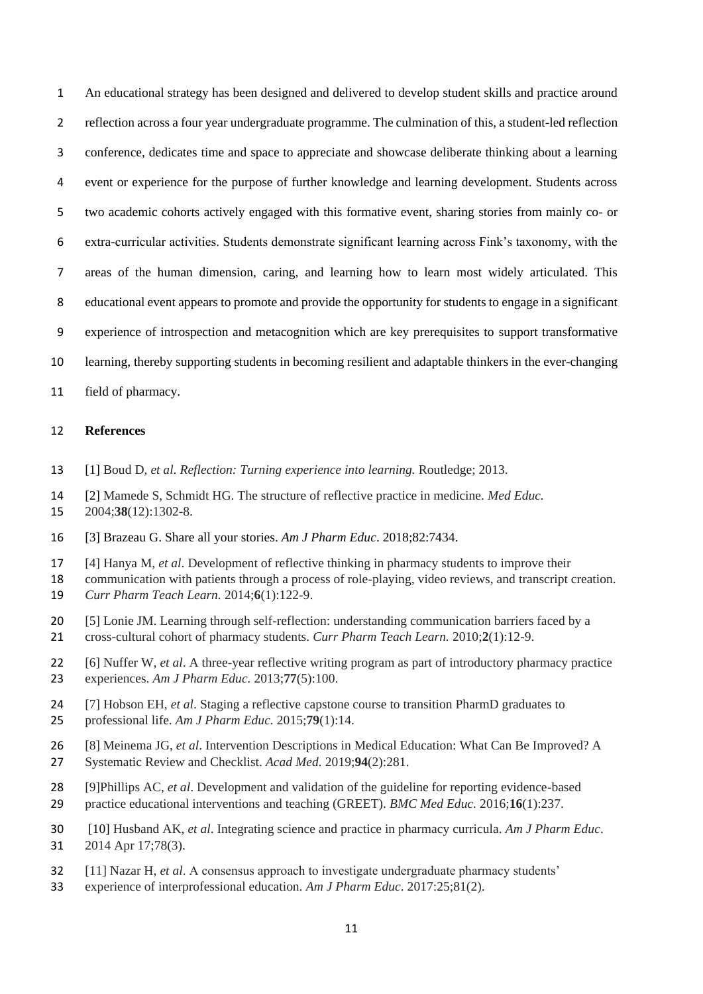An educational strategy has been designed and delivered to develop student skills and practice around reflection across a four year undergraduate programme. The culmination of this, a student-led reflection conference, dedicates time and space to appreciate and showcase deliberate thinking about a learning event or experience for the purpose of further knowledge and learning development. Students across two academic cohorts actively engaged with this formative event, sharing stories from mainly co- or extra-curricular activities. Students demonstrate significant learning across Fink's taxonomy, with the areas of the human dimension, caring, and learning how to learn most widely articulated. This educational event appears to promote and provide the opportunity for students to engage in a significant experience of introspection and metacognition which are key prerequisites to support transformative learning, thereby supporting students in becoming resilient and adaptable thinkers in the ever-changing

field of pharmacy.

# **References**

- [1] Boud D, *et al*. *Reflection: Turning experience into learning.* Routledge; 2013.
- [2] Mamede S, Schmidt HG. The structure of reflective practice in medicine. *Med Educ.* 2004;**38**(12):1302-8.
- [3] Brazeau G. Share all your stories. *Am J Pharm Educ*. 2018;82:7434.
- [4] Hanya M, *et al*. Development of reflective thinking in pharmacy students to improve their
- communication with patients through a process of role-playing, video reviews, and transcript creation.
- *Curr Pharm Teach Learn.* 2014;**6**(1):122-9.
- [5] Lonie JM. Learning through self-reflection: understanding communication barriers faced by a
- cross-cultural cohort of pharmacy students. *Curr Pharm Teach Learn.* 2010;**2**(1):12-9.
- [6] Nuffer W, *et al*. A three-year reflective writing program as part of introductory pharmacy practice experiences. *Am J Pharm Educ.* 2013;**77**(5):100.
- [7] Hobson EH, *et al*. Staging a reflective capstone course to transition PharmD graduates to professional life. *Am J Pharm Educ.* 2015;**79**(1):14.
- [8] Meinema JG, *et al*. Intervention Descriptions in Medical Education: What Can Be Improved? A Systematic Review and Checklist. *Acad Med.* 2019;**94**(2):281.
- [9]Phillips AC, *et al*. Development and validation of the guideline for reporting evidence-based practice educational interventions and teaching (GREET). *BMC Med Educ.* 2016;**16**(1):237.
- [10] Husband AK, *et al*. Integrating science and practice in pharmacy curricula. *Am J Pharm Educ*. 2014 Apr 17;78(3).
- [11] Nazar H, *et al*. A consensus approach to investigate undergraduate pharmacy students'
- experience of interprofessional education. *Am J Pharm Educ*. 2017:25;81(2).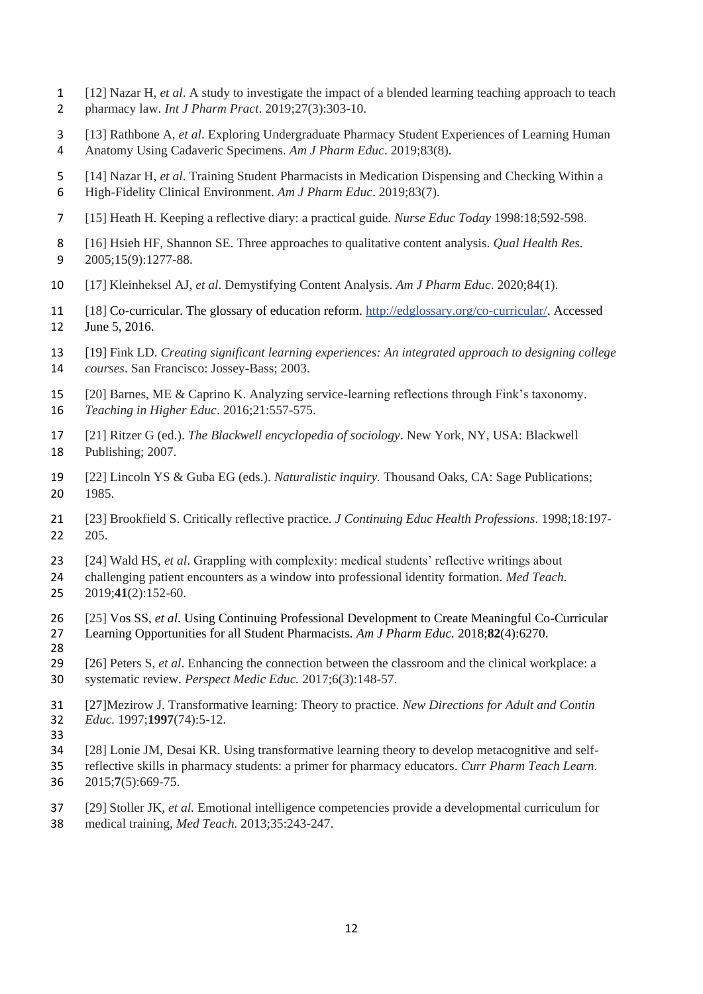- [12] Nazar H, *et al*. A study to investigate the impact of a blended learning teaching approach to teach pharmacy law. *Int J Pharm Pract*. 2019;27(3):303-10.
- [13] Rathbone A, *et al*. Exploring Undergraduate Pharmacy Student Experiences of Learning Human
- Anatomy Using Cadaveric Specimens. *Am J Pharm Educ*. 2019;83(8).
- [14] Nazar H, *et al*. Training Student Pharmacists in Medication Dispensing and Checking Within a High-Fidelity Clinical Environment. *Am J Pharm Educ*. 2019;83(7).
- [15] Heath H. Keeping a reflective diary: a practical guide. *Nurse Educ Today* 1998:18;592-598.
- [16] Hsieh HF, Shannon SE. Three approaches to qualitative content analysis. *Qual Health Res.* 2005;15(9):1277-88.
- [17] Kleinheksel AJ, *et al*. Demystifying Content Analysis. *Am J Pharm Educ*. 2020;84(1).
- [18] Co-curricular. The glossary of education reform. [http://edglossary.org/co-curricular/.](http://edglossary.org/co-curricular/) Accessed June 5, 2016.
- [19] Fink LD. *Creating significant learning experiences: An integrated approach to designing college courses*. San Francisco: Jossey-Bass; 2003.
- [20] Barnes, ME & Caprino K. Analyzing service-learning reflections through Fink's taxonomy. *Teaching in Higher Educ*. 2016;21:557-575.
- [21] Ritzer G (ed.). *The Blackwell encyclopedia of sociology*. New York, NY, USA: Blackwell Publishing; 2007.
- [22] Lincoln YS & Guba EG (eds.). *Naturalistic inquiry.* Thousand Oaks, CA: Sage Publications; 1985.
- [23] Brookfield S. Critically reflective practice. *J Continuing Educ Health Professions*. 1998;18:197- 205.
- [24] Wald HS, *et al*. Grappling with complexity: medical students' reflective writings about
- challenging patient encounters as a window into professional identity formation. *Med Teach.*
- 2019;**41**(2):152-60.
- [25] Vos SS, *et al*. Using Continuing Professional Development to Create Meaningful Co-Curricular Learning Opportunities for all Student Pharmacists. *Am J Pharm Educ.* 2018;**82**(4):6270.
- [26] Peters S, *et al*. Enhancing the connection between the classroom and the clinical workplace: a systematic review. *Perspect Medic Educ.* 2017;6(3):148-57.
- [27]Mezirow J. Transformative learning: Theory to practice. *New Directions for Adult and Contin Educ.* 1997;**1997**(74):5-12.
- 
- [28] Lonie JM, Desai KR. Using transformative learning theory to develop metacognitive and self-
- reflective skills in pharmacy students: a primer for pharmacy educators. *Curr Pharm Teach Learn.* 2015;**7**(5):669-75.
- [29] Stoller JK, *et al.* Emotional intelligence competencies provide a developmental curriculum for medical training, *Med Teach.* 2013;35:243-247.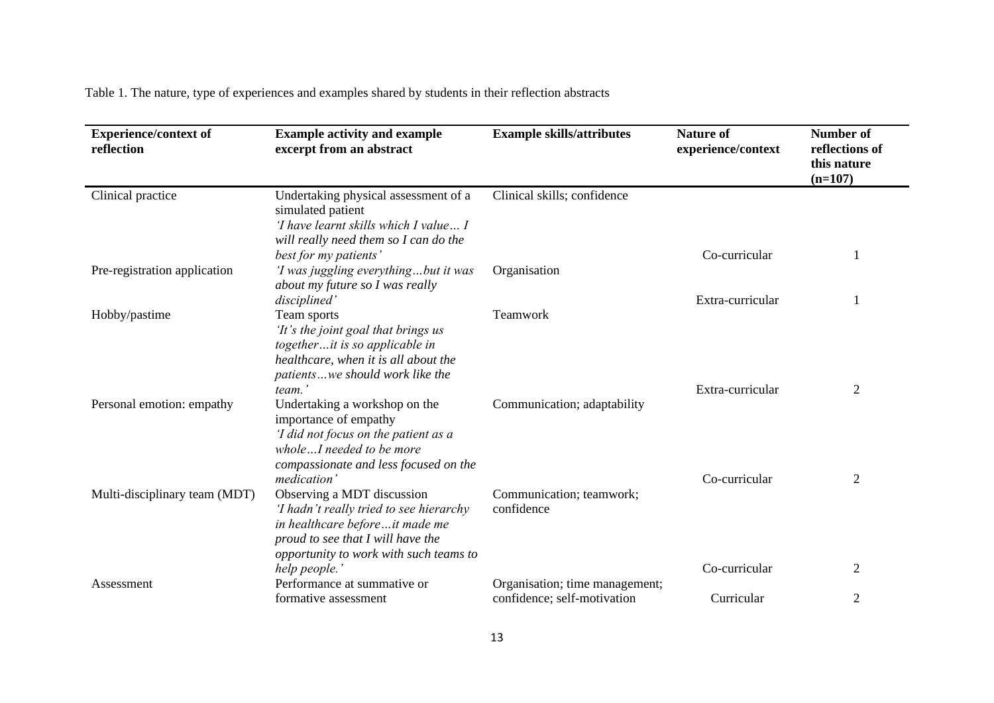Table 1. The nature, type of experiences and examples shared by students in their reflection abstracts

| <b>Experience/context of</b><br>reflection | <b>Example activity and example</b><br>excerpt from an abstract                                                                                                                        | <b>Example skills/attributes</b>                              | <b>Nature of</b><br>experience/context | <b>Number of</b><br>reflections of<br>this nature<br>$(n=107)$ |
|--------------------------------------------|----------------------------------------------------------------------------------------------------------------------------------------------------------------------------------------|---------------------------------------------------------------|----------------------------------------|----------------------------------------------------------------|
| Clinical practice                          | Undertaking physical assessment of a<br>simulated patient<br>'I have learnt skills which I value I<br>will really need them so I can do the                                            | Clinical skills; confidence                                   |                                        |                                                                |
|                                            | best for my patients'                                                                                                                                                                  |                                                               | Co-curricular                          |                                                                |
| Pre-registration application               | 'I was juggling everythingbut it was<br>about my future so I was really                                                                                                                | Organisation                                                  |                                        |                                                                |
| Hobby/pastime                              | disciplined'<br>Team sports<br>'It's the joint goal that brings us                                                                                                                     | Teamwork                                                      | Extra-curricular                       |                                                                |
|                                            | togetherit is so applicable in<br>healthcare, when it is all about the<br>patientswe should work like the<br>team.'                                                                    |                                                               | Extra-curricular                       | 2                                                              |
| Personal emotion: empathy                  | Undertaking a workshop on the<br>importance of empathy<br>'I did not focus on the patient as a<br>wholeI needed to be more<br>compassionate and less focused on the                    | Communication; adaptability                                   |                                        |                                                                |
|                                            | medication'                                                                                                                                                                            |                                                               | Co-curricular                          | 2                                                              |
| Multi-disciplinary team (MDT)              | Observing a MDT discussion<br>'I hadn't really tried to see hierarchy<br>in healthcare beforeit made me<br>proud to see that I will have the<br>opportunity to work with such teams to | Communication; teamwork;<br>confidence                        |                                        |                                                                |
|                                            | help people.'                                                                                                                                                                          |                                                               | Co-curricular                          | 2                                                              |
| Assessment                                 | Performance at summative or<br>formative assessment                                                                                                                                    | Organisation; time management;<br>confidence; self-motivation | Curricular                             | $\overline{2}$                                                 |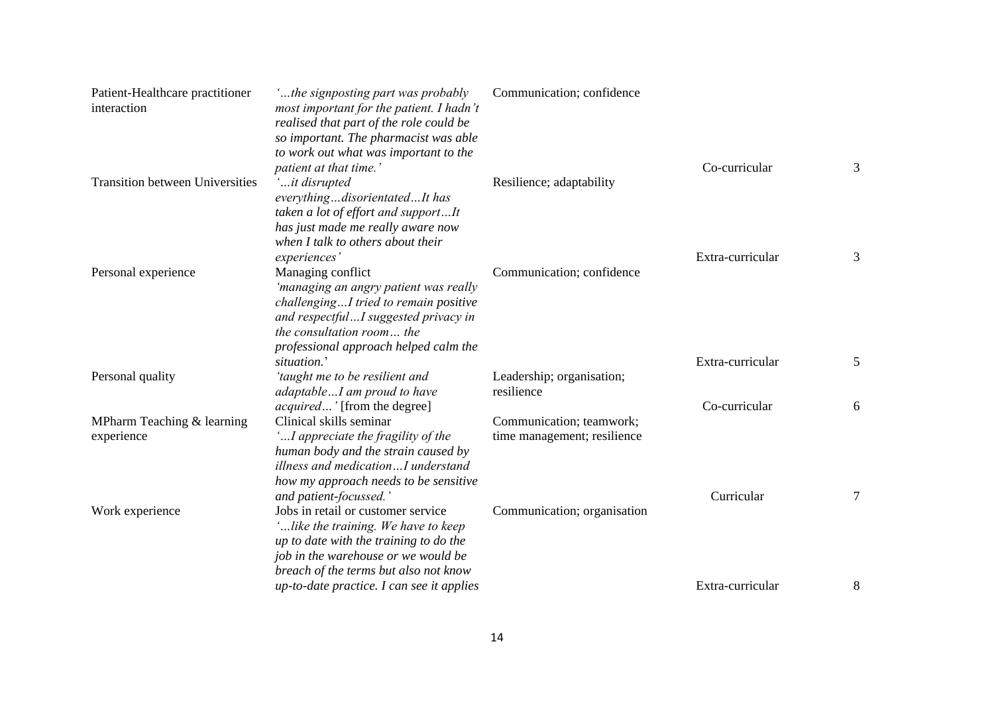| Patient-Healthcare practitioner<br>interaction | the signposting part was probably<br>most important for the patient. I hadn't<br>realised that part of the role could be<br>so important. The pharmacist was able<br>to work out what was important to the                        | Communication; confidence                               |                  |   |
|------------------------------------------------|-----------------------------------------------------------------------------------------------------------------------------------------------------------------------------------------------------------------------------------|---------------------------------------------------------|------------------|---|
| <b>Transition between Universities</b>         | patient at that time.'<br>it disrupted<br>everythingdisorientatedIt has<br>taken a lot of effort and supportIt<br>has just made me really aware now<br>when I talk to others about their                                          | Resilience; adaptability                                | Co-curricular    | 3 |
| Personal experience                            | experiences'<br>Managing conflict<br>'managing an angry patient was really<br>challengingI tried to remain positive<br>and respectfulI suggested privacy in<br>the consultation room the<br>professional approach helped calm the | Communication; confidence                               | Extra-curricular | 3 |
| Personal quality                               | situation.'<br>'taught me to be resilient and                                                                                                                                                                                     | Leadership; organisation;                               | Extra-curricular | 5 |
|                                                | adaptableI am proud to have<br><i>acquired</i> ' [from the degree]                                                                                                                                                                | resilience                                              | Co-curricular    | 6 |
| MPharm Teaching & learning<br>experience       | Clinical skills seminar<br>'I appreciate the fragility of the<br>human body and the strain caused by<br>illness and medicationI understand<br>how my approach needs to be sensitive<br>and patient-focussed.'                     | Communication; teamwork;<br>time management; resilience | Curricular       | 7 |
| Work experience                                | Jobs in retail or customer service<br>'like the training. We have to keep<br>up to date with the training to do the<br>job in the warehouse or we would be<br>breach of the terms but also not know                               | Communication; organisation                             |                  |   |
|                                                | $up-to-date\ practice. I can see it applies$                                                                                                                                                                                      |                                                         | Extra-curricular | 8 |